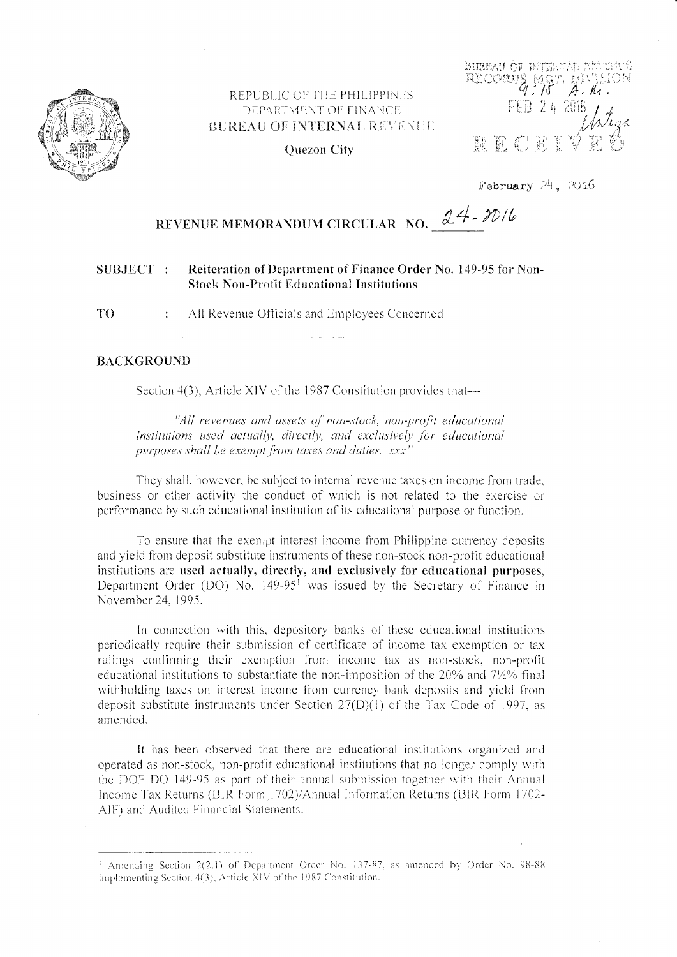

# REPUBLIC OF THE PHILIPPINES DEPARTMENT OF FINANCE BUREAU OF INTERNAL REVENUE

FEB 2 4 2016

 $\frac{MGM}{d}$ 

 $A.$   $M$ 

**ENTERN OF ENTERNAL** 

RECORVE

**Ouezon City** 

February 24, 2016

# REVENUE MEMORANDUM CIRCULAR NO.  $24 - 2016$

#### SUBJECT: Reiteration of Department of Finance Order No. 149-95 for Non-**Stock Non-Profit Educational Institutions**

T<sub>O</sub> All Revenue Officials and Employees Concerned  $\frac{1}{4}$ 

### **BACKGROUND**

Section 4(3), Article XIV of the 1987 Constitution provides that—

"All revenues and assets of non-stock, non-profit educational institutions used actually, directly, and exclusively for educational purposes shall be exempt from taxes and duties. xxx'

They shall, however, be subject to internal revenue taxes on income from trade. business or other activity the conduct of which is not related to the exercise or performance by such educational institution of its educational purpose or function.

To ensure that the exempt interest income from Philippine currency deposits and vield from deposit substitute instruments of these non-stock non-profit educational institutions are used actually, directly, and exclusively for educational purposes, Department Order (DO) No. 149-95<sup>1</sup> was issued by the Secretary of Finance in November 24, 1995.

In connection with this, depository banks of these educational institutions periodically require their submission of certificate of income tax exemption or tax rulings confirming their exemption from income tax as non-stock, non-profit educational institutions to substantiate the non-imposition of the 20% and 7½% final withholding taxes on interest income from currency bank deposits and yield from deposit substitute instruments under Section  $27(D)(1)$  of the Tax Code of 1997, as amended.

It has been observed that there are educational institutions organized and operated as non-stock, non-profit educational institutions that no longer comply with the DOF DO 149-95 as part of their annual submission together with their Annual Income Tax Returns (BIR Form 1702)/Annual Information Returns (BIR Form 1702-AIF) and Audited Financial Statements.

<sup>&</sup>lt;sup>1</sup> Amending Section 2(2,1) of Department Order No. 137-87, as amended by Order No. 98-88 implementing Section 4(3), Article XIV of the 1987 Constitution.